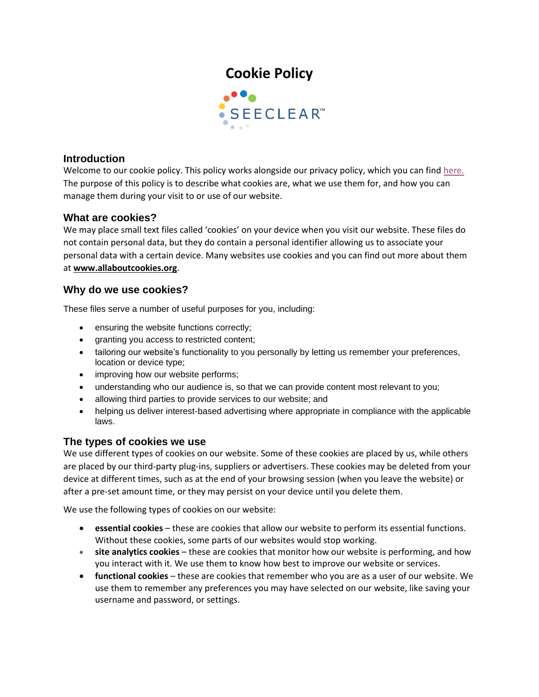# **Cookie Policy**



#### **Introduction**

Welcome to our cookie policy. This policy works alongside our privacy policy, which you can find [here.](https://www.seeclear.co.za/wp-content/uploads/2022/02/Privacy-Policy_SeeClear.pdf) The purpose of this policy is to describe what cookies are, what we use them for, and how you can manage them during your visit to or use of our website.

#### **What are cookies?**

We may place small text files called 'cookies' on your device when you visit our website. These files do not contain personal data, but they do contain a personal identifier allowing us to associate your personal data with a certain device. Many websites use cookies and you can find out more about them at **[www.allaboutcookies.org](http://www.allaboutcookies.org/)**.

#### **Why do we use cookies?**

These files serve a number of useful purposes for you, including:

- ensuring the website functions correctly;
- granting you access to restricted content;
- tailoring our website's functionality to you personally by letting us remember your preferences, location or device type;
- improving how our website performs;
- understanding who our audience is, so that we can provide content most relevant to you;
- allowing third parties to provide services to our website; and
- helping us deliver interest-based advertising where appropriate in compliance with the applicable laws.

### **The types of cookies we use**

We use different types of cookies on our website. Some of these cookies are placed by us, while others are placed by our third-party plug-ins, suppliers or advertisers. These cookies may be deleted from your device at different times, such as at the end of your browsing session (when you leave the website) or after a pre-set amount time, or they may persist on your device until you delete them.

We use the following types of cookies on our website:

- **essential cookies** these are cookies that allow our website to perform its essential functions. Without these cookies, some parts of our websites would stop working.
- **site analytics cookies** these are cookies that monitor how our website is performing, and how you interact with it. We use them to know how best to improve our website or services.
- **functional cookies**  these are cookies that remember who you are as a user of our website. We use them to remember any preferences you may have selected on our website, like saving your username and password, or settings.